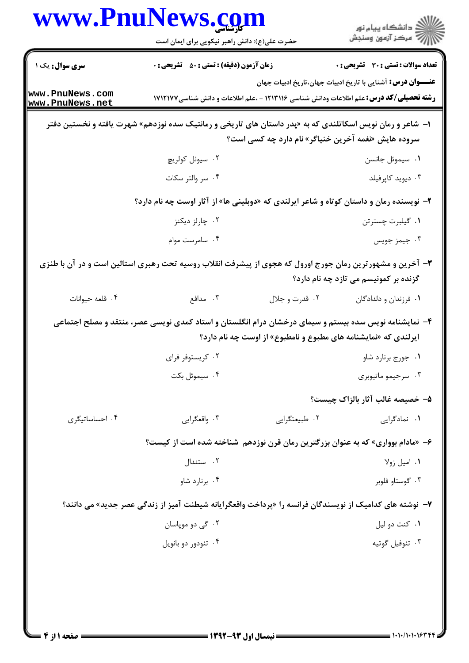|                                    | حضرت علی(ع): دانش راهبر نیکویی برای ایمان است                                                              | www.PnuNews.com                                                 | ≦ دانشڪاه پيام نور<br>ر∕ = مرڪز آزمون وسنڊش                                                                                                                          |
|------------------------------------|------------------------------------------------------------------------------------------------------------|-----------------------------------------------------------------|----------------------------------------------------------------------------------------------------------------------------------------------------------------------|
| <b>سری سوال :</b> یک ۱             | <b>زمان آزمون (دقیقه) : تستی : 50 ٪ تشریحی : 0</b>                                                         |                                                                 | <b>تعداد سوالات : تستي : 30 ٪ تشريحي : 0</b>                                                                                                                         |
| www.PnuNews.com<br>www.PnuNews.net |                                                                                                            |                                                                 | <b>عنــــوان درس:</b> آشنایی با تاریخ ادبیات جهان،تاریخ ادبیات جهان<br><b>رشته تحصیلی/کد درس:</b> علم اطلاعات ودانش شناسی ۱۲۱۳۱۱۶ - ،علم اطلاعات و دانش شناسی۱۷۱۲۱۷۷ |
|                                    | ا–  شاعر و رمان نویس اسکاتلندی که به «پدر داستان های تاریخی و رمانتیک سده نوزدهم» شهرت یافته و نخستین دفتر | سروده هایش «نغمه آخرین خنیاگر» نام دارد چه کسی است؟             |                                                                                                                                                                      |
|                                    | ۰۲ سیوئل کولریچ                                                                                            |                                                                 | ٠١ سيموئل جانسن                                                                                                                                                      |
|                                    | ۰۴ سر والتر سکات                                                                                           |                                                                 | ۰۳ دیوید کاپرفیلد                                                                                                                                                    |
|                                    | <b>۲</b> - نویسنده رمان و داستان کوتاه و شاعر ایرلندی که «دوبلینی ها» از آثار اوست چه نام دارد؟            |                                                                 |                                                                                                                                                                      |
|                                    | ۰۲ چارلز دیکنز                                                                                             |                                                                 | ٠١ گيلبرت چسترتن                                                                                                                                                     |
|                                    | ۰۴ سامرست موام                                                                                             |                                                                 | ۰۳ جيمز جويس                                                                                                                                                         |
|                                    | ۳- آخرین و مشهورترین رمان جورج اورول که هجوی از پیشرفت انقلاب روسیه تحت رهبری استالین است و در آن با طنزی  |                                                                 | گزنده بر کمونیسم می تازد چه نام دارد؟                                                                                                                                |
| ۰۴ قلعه حيوانات                    | ۰۳ مدافع                                                                                                   | ۰۲ قدرت و جلال                                                  | ۰۱ فرزندان و دلدادگان                                                                                                                                                |
|                                    | ۴– نمایشنامه نویس سده بیستم و سیمای درخشان درام انگلستان و استاد کمدی نویسی عصر، منتقد و مصلح اجتماعی      | ایرلندی که «نمایشنامه های مطبوع و نامطبوع» از اوست چه نام دارد؟ |                                                                                                                                                                      |
|                                    | ۰۲ کریستوفر فرای                                                                                           |                                                                 | ۰۱ جورج برنارد شاو                                                                                                                                                   |
|                                    | ۰۴ سیموئل بکت                                                                                              |                                                                 | ۰۳ سرجيمو ماتيوبري                                                                                                                                                   |
|                                    |                                                                                                            |                                                                 | ۵– خصیصه غالب آثار بالزاک چیست؟                                                                                                                                      |
| ۰۴ احساساتیگری                     | ۰۳ واقعگرايي                                                                                               | ۰۲ طبیعتگرایی                                                   | ۰۱ نمادگرایی                                                                                                                                                         |
|                                    | ۶– «مادام بوواری» که به عنوان بزرگترین رمان قرن نوزدهم  شناخته شده است از کیست؟                            |                                                                 |                                                                                                                                                                      |
|                                    | ۰۲ ستندال                                                                                                  |                                                                 | ۰۱ امیل زولا                                                                                                                                                         |
|                                    | ۰۴ برنارد شاو                                                                                              |                                                                 | ۰۳ گوستاو فلوبر                                                                                                                                                      |
|                                    | ۷–  نوشته های کدامیک از نویسندگان فرانسه را «پرداخت واقعگرایانه شیطنت آمیز از زندگی عصر جدید» می دانند؟    |                                                                 |                                                                                                                                                                      |
|                                    | ۰۲ گی دو موپاسان                                                                                           |                                                                 | ۰۱ کنت دو ليل                                                                                                                                                        |
|                                    | ۰۴ تئودور دو بانویل                                                                                        |                                                                 |                                                                                                                                                                      |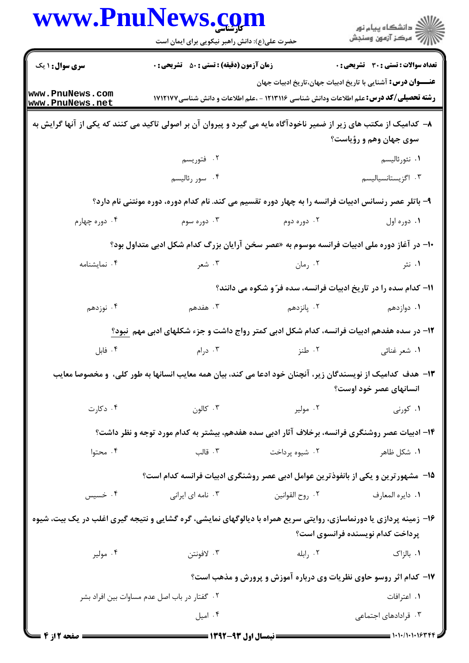|                                    | www.PnuNews.com<br>حضرت علی(ع): دانش راهبر نیکویی برای ایمان است                                                    |                                                                                                               | ر<br>دانشڪاه پيام نور)<br>ا∛ مرڪز آزمون وسنڊش                        |
|------------------------------------|---------------------------------------------------------------------------------------------------------------------|---------------------------------------------------------------------------------------------------------------|----------------------------------------------------------------------|
| <b>سری سوال : ۱ یک</b>             | <b>زمان آزمون (دقیقه) : تستی : 50 ٪ تشریحی : 0</b>                                                                  |                                                                                                               | تعداد سوالات : تستى : 30 قشريحى : 0                                  |
| www.PnuNews.com<br>www.PnuNews.net |                                                                                                                     | <b>رشته تحصیلی/کد درس:</b> علم اطلاعات ودانش شناسی ۱۲۱۳۱۱۶ - ،علم اطلاعات و دانش شناسی۱۷۱۲۱۷۷                 | <b>عنـــــوان درس:</b> آشنایی با تاریخ ادبیات جهان،تاریخ ادبیات جهان |
|                                    | ۸– کدامیک از مکتب های زیر از ضمیر ناخودآگاه مایه می گیرد و پیروان آن بر اصولی تاکید می کنند که یکی از آنها گرایش به |                                                                                                               | سوی جهان وهم و رؤیاست؟                                               |
|                                    | ۰۲ فتوریسم                                                                                                          |                                                                                                               | ۰۱ نئورئالیسم                                                        |
|                                    | ۰۴ سور رئاليسم                                                                                                      |                                                                                                               | ۰۳ اگزیستانسیالیسم                                                   |
|                                    | ۹- باتلر عصر رنسانس ادبیات فرانسه را به چهار دوره تقسیم می کند. نام کدام دوره، دوره مونتنی نام دارد؟                |                                                                                                               |                                                                      |
| ۰۴ دوره چهارم                      | ۰۳ دوره سوم                                                                                                         | ۰۲ دوره دوم                                                                                                   | ۰۱ دوره اول                                                          |
|                                    | +ا– در آغاز دوره ملی ادبیات فرانسه موسوم به «عصر سخن آرایان بزرگ کدام شکل ادبی متداول بود؟                          |                                                                                                               |                                                                      |
| ۰۴ نمایشنامه                       | ۰۳ شعر                                                                                                              | ۰۲ رمان                                                                                                       | ۰۱ نثر                                                               |
|                                    |                                                                                                                     | 11- کدام سده را در تاریخ ادبیات فرانسه، سده فرّ و شکوه می دانند؟                                              |                                                                      |
| ۰۴ نوزدهم                          | ۰۳ هفدهم                                                                                                            | ۰۲ پانزدهم                                                                                                    | ۰۱ دوازدهم                                                           |
|                                    | ۱۲– در سده هفدهم ادبیات فرانسه، کدام شکل ادبی کمتر رواج داشت و جزء شکلهای ادبی مهم ً نبود؟                          |                                                                                                               |                                                                      |
| ۰۴ فابل                            | ۰۳ درام                                                                                                             | ۰۲ طنز                                                                                                        | ۰۱ شعر غنائی                                                         |
|                                    | ۱۳– هدف کدامیک از نویسندگان زیر، آنچنان خود ادعا می کند، بیان همه معایب انسانها به طور کلی، و مخصوصا معایب          |                                                                                                               | انسانهای عصر خود اوست؟                                               |
| ۰۴ دکارت                           | کالون $\cdot$ ۳ ۲                                                                                                   | ۰۲ مولیر                                                                                                      | ۰۱ کورنی                                                             |
|                                    | ۱۴– ادبیات عصر روشنگری فرانسه، برخلاف آثار ادبی سده هفدهم، بیشتر به کدام مورد توجه و نظر داشت؟                      |                                                                                                               |                                                                      |
| ۰۴ محتوا                           | ۰۲ شیوه پرداخت د ۳۰۰ قالب                                                                                           |                                                                                                               | ۰۱ شکل ظاهر                                                          |
|                                    | ۱۵–  مشهور ترین و یکی از بانفوذترین عوامل ادبی عصر روشنگری ادبیات فرانسه کدام است؟                                  |                                                                                                               |                                                                      |
| ۰۴ خسیس                            | ۰۳ نامه ای ایرانی                                                                                                   | ٢. روح القوانين                                                                                               | ٠١. دايره المعارف                                                    |
|                                    | ۱۶- زمینه پردازی یا دورنماسازی، روایتی سریع همراه با دیالوگهای نمایشی، گره گشایی و نتیجه گیری اغلب در یک بیت، شیوه  |                                                                                                               | پرداخت کدام نویسنده فرانسوی است؟                                     |
|                                    | ۰۳ لافونتن مولير .۴                                                                                                 | ۰۱ بالزاک می از ایله می است و به این است که این معامل به این است که این معامل است که است که است که است که است |                                                                      |
|                                    |                                                                                                                     | ۱۷- کدام اثر روسو حاوی نظریات وی درباره آموزش و پرورش و مذهب است؟                                             |                                                                      |
|                                    | ۰۲ گفتار در باب اصل عدم مساوات بین افراد بشر                                                                        |                                                                                                               | ۰۱ اعترافات                                                          |
|                                    | ۰۴ اميل                                                                                                             |                                                                                                               | ۰۳ قرادادهای اجتماعی                                                 |
| ــــــــ صفحه 2 از 4               | ــــــــــــ نیمسال اول ۹۳-۱۳۹۲ ـــــــــــ                                                                         |                                                                                                               |                                                                      |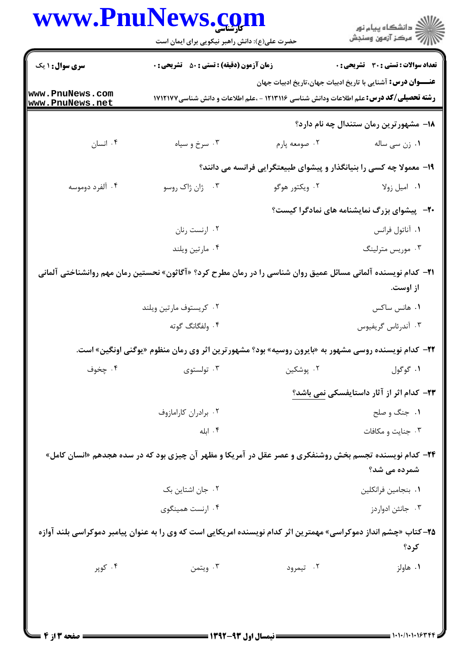| www.PnuNews.com |  |
|-----------------|--|
|-----------------|--|

| www.PnuNews.com                    | حضرت علی(ع): دانش راهبر نیکویی برای ایمان است                                                                   |               | ر<br>دانشڪاه پيام نور)<br>ا∛ مرڪز آزمون وسنڊش                                                                                                                        |  |
|------------------------------------|-----------------------------------------------------------------------------------------------------------------|---------------|----------------------------------------------------------------------------------------------------------------------------------------------------------------------|--|
| <b>سری سوال : ۱ یک</b>             | <b>زمان آزمون (دقیقه) : تستی : 50 ٪ تشریحی : 0</b>                                                              |               | <b>تعداد سوالات : تستی : 30 ٪ تشریحی : 0</b>                                                                                                                         |  |
| www.PnuNews.com<br>www.PnuNews.net |                                                                                                                 |               | <b>عنــــوان درس:</b> آشنایی با تاریخ ادبیات جهان،تاریخ ادبیات جهان<br><b>رشته تحصیلی/کد درس:</b> علم اطلاعات ودانش شناسی ۱۲۱۳۱۱۶ - ،علم اطلاعات و دانش شناسی۱۷۱۲۱۷۷ |  |
|                                    |                                                                                                                 |               | 1۸– مشهورترین رمان ستندال چه نام دارد؟                                                                                                                               |  |
| ۰۴ انسان                           | ۰۳ سرخ و سياه                                                                                                   | ۰۲ صومعه پارم | ۰۱ زن سی ساله                                                                                                                                                        |  |
|                                    |                                                                                                                 |               | ۱۹- معمولا چه کسی را بنیانگذار و پیشوای طبیعتگرایی فرانسه می دانند؟                                                                                                  |  |
| ۰۴ آلفرد دوموسه                    | ۰۳ ژان ژاک روسو                                                                                                 |               | ۰۱ امیل زولا موگو (در هوگو                                                                                                                                           |  |
|                                    | <b>۲۰</b> پیشوای بزرگ نمایشنامه های نمادگرا کیست؟                                                               |               |                                                                                                                                                                      |  |
|                                    | ۰۲ ارنست رنان                                                                                                   |               | ٠١ آناتول فرانس                                                                                                                                                      |  |
|                                    | ۰۴ مارتين ويلند                                                                                                 |               | ۰۳ موریس مترلینگ                                                                                                                                                     |  |
|                                    | 21− کدام نویسنده آلمانی مسائل عمیق روان شناسی را در رمان مطرح کرد؟ «آگاثون» نحستین رمان مهم روانشناختی آلمانی   |               | از اوست.                                                                                                                                                             |  |
|                                    | ۰۲ كريستوف مارتين ويلند                                                                                         |               | ۰۱ هانس ساکس                                                                                                                                                         |  |
|                                    | ۰۴ ولفگانگ گوته                                                                                                 |               | ۰۳ آندرئاس گريفيوس                                                                                                                                                   |  |
|                                    | <b>۲۲</b> – کدام نویسنده روسی مشهور به «بایرون روسیه» بود؟ مشهورترین اثر وی رمان منظوم «یوگنی اونگین» است.      |               |                                                                                                                                                                      |  |
| ۰۴ چخوف                            | ۰۳ تولستوي                                                                                                      | ۰۲ پوشکین     | ۰۱ گوگول                                                                                                                                                             |  |
|                                    |                                                                                                                 |               | <b>۲۳</b> – کدام اثر از آثار داستایفسکی نمی باشد؟                                                                                                                    |  |
|                                    | ۰۲ برادران کارامازوف                                                                                            |               | ۰۱ جنگ و صلح                                                                                                                                                         |  |
|                                    | ۰۴ ابله                                                                                                         |               | ۰۳ جنایت و مکافات                                                                                                                                                    |  |
|                                    | <b>۲۴</b> – کدام نویسنده تجسم بخش روشنفکری و عصر عقل در آمریکا و مظهر آن چیزی بود که در سده هجدهم «انسان کامل»  |               | شمرده می شد؟                                                                                                                                                         |  |
|                                    | ۰۲ جان اشتاین بک                                                                                                |               | ٠١. بنجامين فرانكلين                                                                                                                                                 |  |
|                                    | ۰۴ ارنست همینگوی                                                                                                |               | ۰۳ جانثن ادواردز                                                                                                                                                     |  |
|                                    | ۲۵–کتاب «چشم انداز دموکراسی» مهمترین اثر کدام نویسنده امریکایی است که وی را به عنوان پیامبر دموکراسی بلند آوازه |               | کرد؟                                                                                                                                                                 |  |
|                                    |                                                                                                                 |               |                                                                                                                                                                      |  |